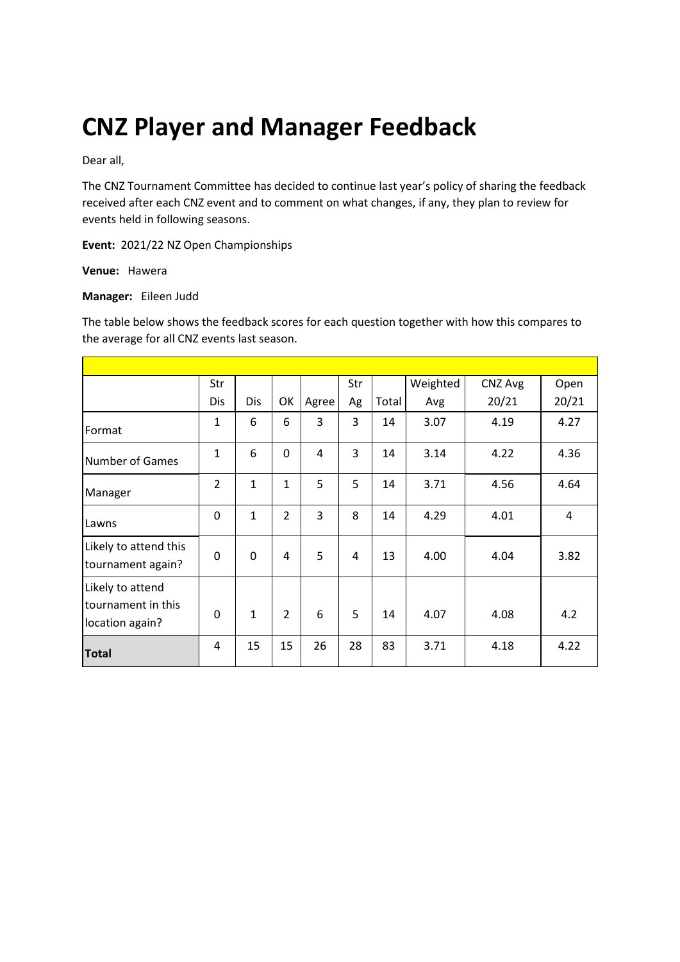# **CNZ Player and Manager Feedback**

Dear all,

The CNZ Tournament Committee has decided to continue last year's policy of sharing the feedback received after each CNZ event and to comment on what changes, if any, they plan to review for events held in following seasons.

**Event:** 2021/22 NZ Open Championships

**Venue:** Hawera

#### **Manager:** Eileen Judd

The table below shows the feedback scores for each question together with how this compares to the average for all CNZ events last season.

|                                                           | Str            |              |                |       | Str |       | Weighted | CNZ Avg | Open  |
|-----------------------------------------------------------|----------------|--------------|----------------|-------|-----|-------|----------|---------|-------|
|                                                           | Dis            | <b>Dis</b>   | OK             | Agree | Ag  | Total | Avg      | 20/21   | 20/21 |
| Format                                                    | $\mathbf{1}$   | 6            | 6              | 3     | 3   | 14    | 3.07     | 4.19    | 4.27  |
| <b>Number of Games</b>                                    | 1              | 6            | 0              | 4     | 3   | 14    | 3.14     | 4.22    | 4.36  |
| Manager                                                   | $\overline{2}$ | $\mathbf{1}$ | 1              | 5     | 5   | 14    | 3.71     | 4.56    | 4.64  |
| Lawns                                                     | 0              | $\mathbf{1}$ | $\overline{2}$ | 3     | 8   | 14    | 4.29     | 4.01    | 4     |
| Likely to attend this<br>tournament again?                | 0              | 0            | 4              | 5     | 4   | 13    | 4.00     | 4.04    | 3.82  |
| Likely to attend<br>tournament in this<br>location again? | 0              | $\mathbf{1}$ | $\overline{2}$ | 6     | 5   | 14    | 4.07     | 4.08    | 4.2   |
| <b>Total</b>                                              | 4              | 15           | 15             | 26    | 28  | 83    | 3.71     | 4.18    | 4.22  |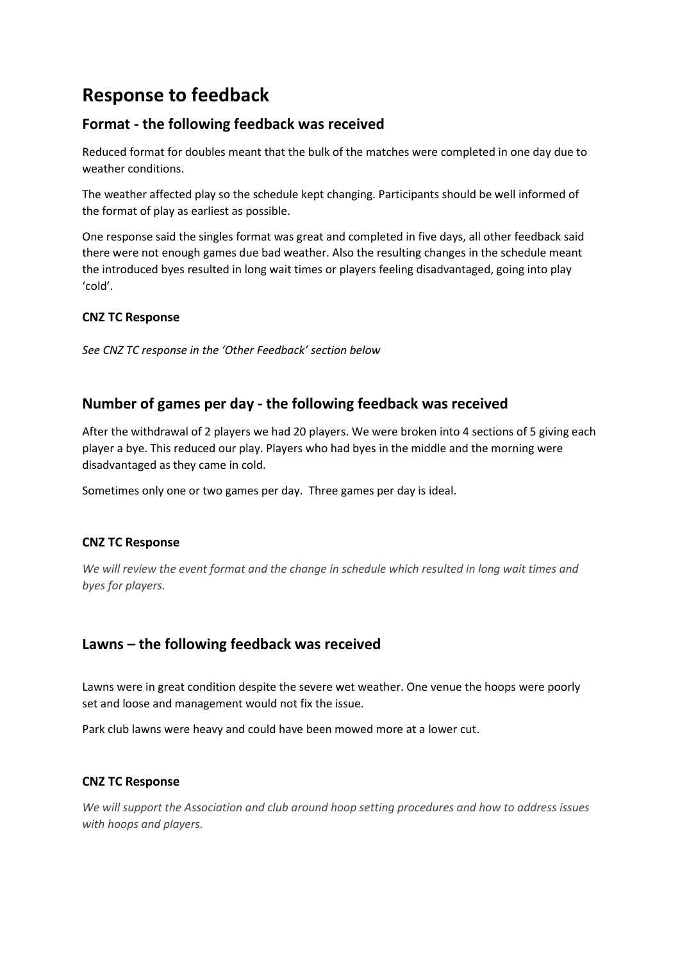# **Response to feedback**

# **Format - the following feedback was received**

Reduced format for doubles meant that the bulk of the matches were completed in one day due to weather conditions.

The weather affected play so the schedule kept changing. Participants should be well informed of the format of play as earliest as possible.

One response said the singles format was great and completed in five days, all other feedback said there were not enough games due bad weather. Also the resulting changes in the schedule meant the introduced byes resulted in long wait times or players feeling disadvantaged, going into play 'cold'.

### **CNZ TC Response**

*See CNZ TC response in the 'Other Feedback' section below*

# **Number of games per day - the following feedback was received**

After the withdrawal of 2 players we had 20 players. We were broken into 4 sections of 5 giving each player a bye. This reduced our play. Players who had byes in the middle and the morning were disadvantaged as they came in cold.

Sometimes only one or two games per day. Three games per day is ideal.

#### **CNZ TC Response**

*We will review the event format and the change in schedule which resulted in long wait times and byes for players.*

# **Lawns – the following feedback was received**

Lawns were in great condition despite the severe wet weather. One venue the hoops were poorly set and loose and management would not fix the issue.

Park club lawns were heavy and could have been mowed more at a lower cut.

#### **CNZ TC Response**

*We will support the Association and club around hoop setting procedures and how to address issues with hoops and players.*